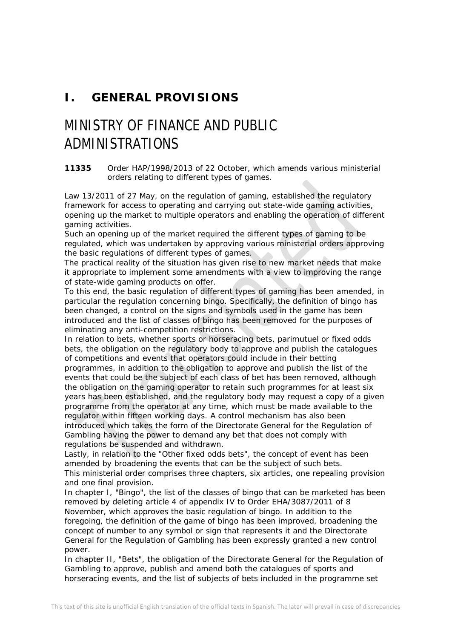## **I. GENERAL PROVISIONS**

# MINISTRY OF FINANCE AND PUBLIC ADMINISTRATIONS

#### **11335** *Order HAP/1998/2013 of 22 October, which amends various ministerial orders relating to different types of games.*

Law 13/2011 of 27 May, on the regulation of gaming, established the regulatory framework for access to operating and carrying out state-wide gaming activities, opening up the market to multiple operators and enabling the operation of different gaming activities.

Such an opening up of the market required the different types of gaming to be regulated, which was undertaken by approving various ministerial orders approving the basic regulations of different types of games.

The practical reality of the situation has given rise to new market needs that make it appropriate to implement some amendments with a view to improving the range of state-wide gaming products on offer.

To this end, the basic regulation of different types of gaming has been amended, in particular the regulation concerning bingo. Specifically, the definition of bingo has been changed, a control on the signs and symbols used in the game has been introduced and the list of classes of bingo has been removed for the purposes of eliminating any anti-competition restrictions.

In relation to bets, whether sports or horseracing bets, parimutuel or fixed odds bets, the obligation on the regulatory body to approve and publish the catalogues of competitions and events that operators could include in their betting programmes, in addition to the obligation to approve and publish the list of the events that could be the subject of each class of bet has been removed, although the obligation on the gaming operator to retain such programmes for at least six years has been established, and the regulatory body may request a copy of a given programme from the operator at any time, which must be made available to the regulator within fifteen working days. A control mechanism has also been introduced which takes the form of the Directorate General for the Regulation of Gambling having the power to demand any bet that does not comply with regulations be suspended and withdrawn.

Lastly, in relation to the "Other fixed odds bets", the concept of event has been amended by broadening the events that can be the subject of such bets. This ministerial order comprises three chapters, six articles, one repealing provision and one final provision.

In chapter I, "Bingo", the list of the classes of bingo that can be marketed has been removed by deleting article 4 of appendix IV to Order EHA/3087/2011 of 8 November, which approves the basic regulation of bingo. In addition to the foregoing, the definition of the game of bingo has been improved, broadening the concept of number to any symbol or sign that represents it and the Directorate General for the Regulation of Gambling has been expressly granted a new control power.

In chapter II, "Bets", the obligation of the Directorate General for the Regulation of Gambling to approve, publish and amend both the catalogues of sports and horseracing events, and the list of subjects of bets included in the programme set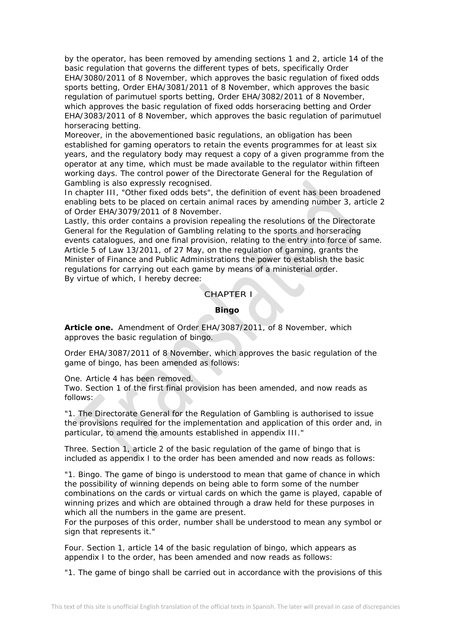by the operator, has been removed by amending sections 1 and 2, article 14 of the basic regulation that governs the different types of bets, specifically Order EHA/3080/2011 of 8 November, which approves the basic regulation of fixed odds sports betting, Order EHA/3081/2011 of 8 November, which approves the basic regulation of parimutuel sports betting, Order EHA/3082/2011 of 8 November, which approves the basic regulation of fixed odds horseracing betting and Order EHA/3083/2011 of 8 November, which approves the basic regulation of parimutuel horseracing betting.

Moreover, in the abovementioned basic regulations, an obligation has been established for gaming operators to retain the events programmes for at least six years, and the regulatory body may request a copy of a given programme from the operator at any time, which must be made available to the regulator within fifteen working days. The control power of the Directorate General for the Regulation of Gambling is also expressly recognised.

In chapter III, "Other fixed odds bets", the definition of event has been broadened enabling bets to be placed on certain animal races by amending number 3, article 2 of Order EHA/3079/2011 of 8 November.

Lastly, this order contains a provision repealing the resolutions of the Directorate General for the Regulation of Gambling relating to the sports and horseracing events catalogues, and one final provision, relating to the entry into force of same. Article 5 of Law 13/2011, of 27 May, on the regulation of gaming, grants the Minister of Finance and Public Administrations the power to establish the basic regulations for carrying out each game by means of a ministerial order. By virtue of which, I hereby decree:

CHAPTER I

#### **Bingo**

**Article one.** *Amendment of Order EHA/3087/2011, of 8 November, which approves the basic regulation of bingo.*

Order EHA/3087/2011 of 8 November, which approves the basic regulation of the game of bingo, has been amended as follows:

One. Article 4 has been removed.

Two. Section 1 of the first final provision has been amended, and now reads as follows:

"1. The Directorate General for the Regulation of Gambling is authorised to issue the provisions required for the implementation and application of this order and, in particular, to amend the amounts established in appendix III."

Three. Section 1, article 2 of the basic regulation of the game of bingo that is included as appendix I to the order has been amended and now reads as follows:

"1. Bingo. The game of bingo is understood to mean that game of chance in which the possibility of winning depends on being able to form some of the number combinations on the cards or virtual cards on which the game is played, capable of winning prizes and which are obtained through a draw held for these purposes in which all the numbers in the game are present.

For the purposes of this order, number shall be understood to mean any symbol or sign that represents it."

Four. Section 1, article 14 of the basic regulation of bingo, which appears as appendix I to the order, has been amended and now reads as follows:

"1. The game of bingo shall be carried out in accordance with the provisions of this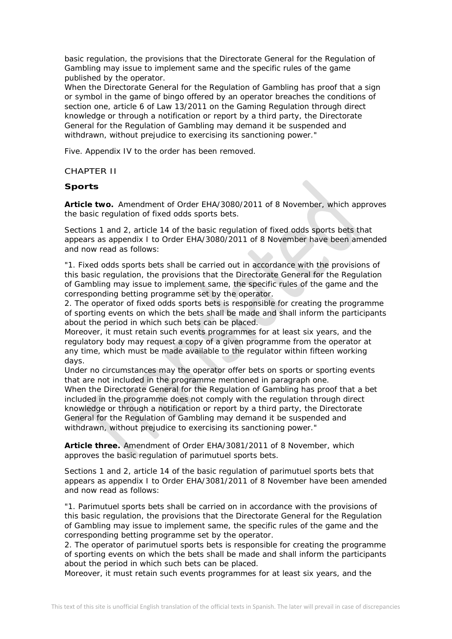basic regulation, the provisions that the Directorate General for the Regulation of Gambling may issue to implement same and the specific rules of the game published by the operator.

When the Directorate General for the Regulation of Gambling has proof that a sign or symbol in the game of bingo offered by an operator breaches the conditions of section one, article 6 of Law 13/2011 on the Gaming Regulation through direct knowledge or through a notification or report by a third party, the Directorate General for the Regulation of Gambling may demand it be suspended and withdrawn, without prejudice to exercising its sanctioning power."

Five. Appendix IV to the order has been removed.

CHAPTER II

#### **Sports**

**Article two.** *Amendment of Order EHA/3080/2011 of 8 November, which approves the basic regulation of fixed odds sports bets.*

Sections 1 and 2, article 14 of the basic regulation of fixed odds sports bets that appears as appendix I to Order EHA/3080/2011 of 8 November have been amended and now read as follows:

"1. Fixed odds sports bets shall be carried out in accordance with the provisions of this basic regulation, the provisions that the Directorate General for the Regulation of Gambling may issue to implement same, the specific rules of the game and the corresponding betting programme set by the operator.

2. The operator of fixed odds sports bets is responsible for creating the programme of sporting events on which the bets shall be made and shall inform the participants about the period in which such bets can be placed.

Moreover, it must retain such events programmes for at least six years, and the regulatory body may request a copy of a given programme from the operator at any time, which must be made available to the regulator within fifteen working days.

Under no circumstances may the operator offer bets on sports or sporting events that are not included in the programme mentioned in paragraph one.

When the Directorate General for the Regulation of Gambling has proof that a bet included in the programme does not comply with the regulation through direct knowledge or through a notification or report by a third party, the Directorate General for the Regulation of Gambling may demand it be suspended and withdrawn, without prejudice to exercising its sanctioning power."

**Article three.** *Amendment of Order EHA/3081/2011 of 8 November, which approves the basic regulation of parimutuel sports bets.*

Sections 1 and 2, article 14 of the basic regulation of parimutuel sports bets that appears as appendix I to Order EHA/3081/2011 of 8 November have been amended and now read as follows:

"1. Parimutuel sports bets shall be carried on in accordance with the provisions of this basic regulation, the provisions that the Directorate General for the Regulation of Gambling may issue to implement same, the specific rules of the game and the corresponding betting programme set by the operator.

2. The operator of parimutuel sports bets is responsible for creating the programme of sporting events on which the bets shall be made and shall inform the participants about the period in which such bets can be placed.

Moreover, it must retain such events programmes for at least six years, and the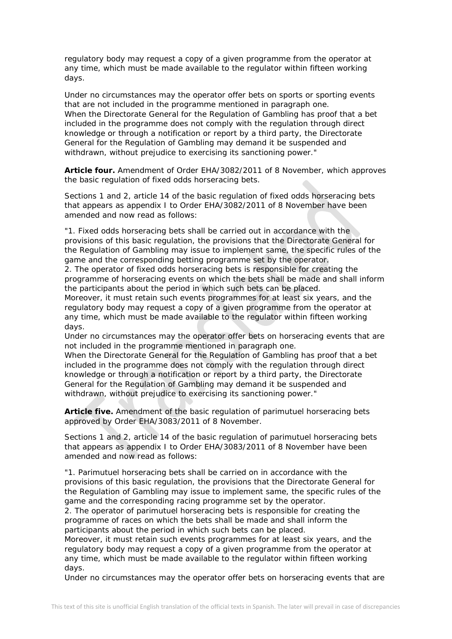regulatory body may request a copy of a given programme from the operator at any time, which must be made available to the regulator within fifteen working days.

Under no circumstances may the operator offer bets on sports or sporting events that are not included in the programme mentioned in paragraph one. When the Directorate General for the Regulation of Gambling has proof that a bet included in the programme does not comply with the regulation through direct knowledge or through a notification or report by a third party, the Directorate General for the Regulation of Gambling may demand it be suspended and withdrawn, without prejudice to exercising its sanctioning power."

**Article four.** *Amendment of Order EHA/3082/2011 of 8 November, which approves the basic regulation of fixed odds horseracing bets.*

Sections 1 and 2, article 14 of the basic regulation of fixed odds horseracing bets that appears as appendix I to Order EHA/3082/2011 of 8 November have been amended and now read as follows:

"1. Fixed odds horseracing bets shall be carried out in accordance with the provisions of this basic regulation, the provisions that the Directorate General for the Regulation of Gambling may issue to implement same, the specific rules of the game and the corresponding betting programme set by the operator.

2. The operator of fixed odds horseracing bets is responsible for creating the programme of horseracing events on which the bets shall be made and shall inform the participants about the period in which such bets can be placed.

Moreover, it must retain such events programmes for at least six years, and the regulatory body may request a copy of a given programme from the operator at any time, which must be made available to the regulator within fifteen working days.

Under no circumstances may the operator offer bets on horseracing events that are not included in the programme mentioned in paragraph one.

When the Directorate General for the Regulation of Gambling has proof that a bet included in the programme does not comply with the regulation through direct knowledge or through a notification or report by a third party, the Directorate General for the Regulation of Gambling may demand it be suspended and withdrawn, without prejudice to exercising its sanctioning power."

**Article five.** *Amendment of the basic regulation of parimutuel horseracing bets approved by Order EHA/3083/2011 of 8 November.*

Sections 1 and 2, article 14 of the basic regulation of parimutuel horseracing bets that appears as appendix I to Order EHA/3083/2011 of 8 November have been amended and now read as follows:

"1. Parimutuel horseracing bets shall be carried on in accordance with the provisions of this basic regulation, the provisions that the Directorate General for the Regulation of Gambling may issue to implement same, the specific rules of the game and the corresponding racing programme set by the operator.

2. The operator of parimutuel horseracing bets is responsible for creating the programme of races on which the bets shall be made and shall inform the participants about the period in which such bets can be placed.

Moreover, it must retain such events programmes for at least six years, and the regulatory body may request a copy of a given programme from the operator at any time, which must be made available to the regulator within fifteen working days.

Under no circumstances may the operator offer bets on horseracing events that are